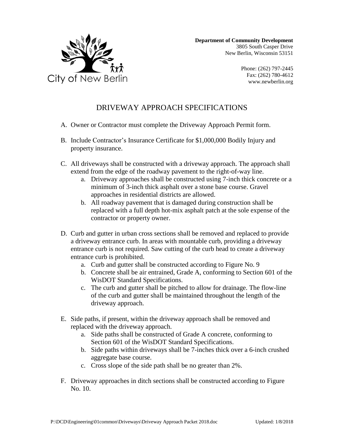

**Department of Community Development** 3805 South Casper Drive New Berlin, Wisconsin 53151

> Phone: (262) 797-2445 Fax: (262) 780-4612 www.newberlin.org

## DRIVEWAY APPROACH SPECIFICATIONS

- A. Owner or Contractor must complete the Driveway Approach Permit form.
- B. Include Contractor's Insurance Certificate for \$1,000,000 Bodily Injury and property insurance.
- C. All driveways shall be constructed with a driveway approach. The approach shall extend from the edge of the roadway pavement to the right-of-way line.
	- a. Driveway approaches shall be constructed using 7-inch thick concrete or a minimum of 3-inch thick asphalt over a stone base course. Gravel approaches in residential districts are allowed.
	- b. All roadway pavement that is damaged during construction shall be replaced with a full depth hot-mix asphalt patch at the sole expense of the contractor or property owner.
- D. Curb and gutter in urban cross sections shall be removed and replaced to provide a driveway entrance curb. In areas with mountable curb, providing a driveway entrance curb is not required. Saw cutting of the curb head to create a driveway entrance curb is prohibited.
	- a. Curb and gutter shall be constructed according to Figure No. 9
	- b. Concrete shall be air entrained, Grade A, conforming to Section 601 of the WisDOT Standard Specifications.
	- c. The curb and gutter shall be pitched to allow for drainage. The flow-line of the curb and gutter shall be maintained throughout the length of the driveway approach.
- E. Side paths, if present, within the driveway approach shall be removed and replaced with the driveway approach.
	- a. Side paths shall be constructed of Grade A concrete, conforming to Section 601 of the WisDOT Standard Specifications.
	- b. Side paths within driveways shall be 7-inches thick over a 6-inch crushed aggregate base course.
	- c. Cross slope of the side path shall be no greater than 2%.
- F. Driveway approaches in ditch sections shall be constructed according to Figure No. 10.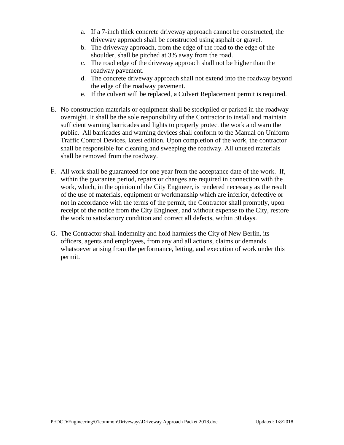- a. If a 7-inch thick concrete driveway approach cannot be constructed, the driveway approach shall be constructed using asphalt or gravel.
- b. The driveway approach, from the edge of the road to the edge of the shoulder, shall be pitched at 3% away from the road.
- c. The road edge of the driveway approach shall not be higher than the roadway pavement.
- d. The concrete driveway approach shall not extend into the roadway beyond the edge of the roadway pavement.
- e. If the culvert will be replaced, a Culvert Replacement permit is required.
- E. No construction materials or equipment shall be stockpiled or parked in the roadway overnight. It shall be the sole responsibility of the Contractor to install and maintain sufficient warning barricades and lights to properly protect the work and warn the public. All barricades and warning devices shall conform to the Manual on Uniform Traffic Control Devices, latest edition. Upon completion of the work, the contractor shall be responsible for cleaning and sweeping the roadway. All unused materials shall be removed from the roadway.
- F. All work shall be guaranteed for one year from the acceptance date of the work. If, within the guarantee period, repairs or changes are required in connection with the work, which, in the opinion of the City Engineer, is rendered necessary as the result of the use of materials, equipment or workmanship which are inferior, defective or not in accordance with the terms of the permit, the Contractor shall promptly, upon receipt of the notice from the City Engineer, and without expense to the City, restore the work to satisfactory condition and correct all defects, within 30 days.
- G. The Contractor shall indemnify and hold harmless the City of New Berlin, its officers, agents and employees, from any and all actions, claims or demands whatsoever arising from the performance, letting, and execution of work under this permit.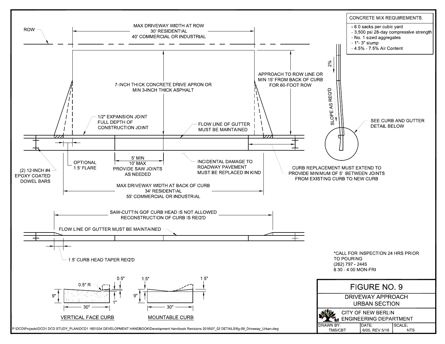